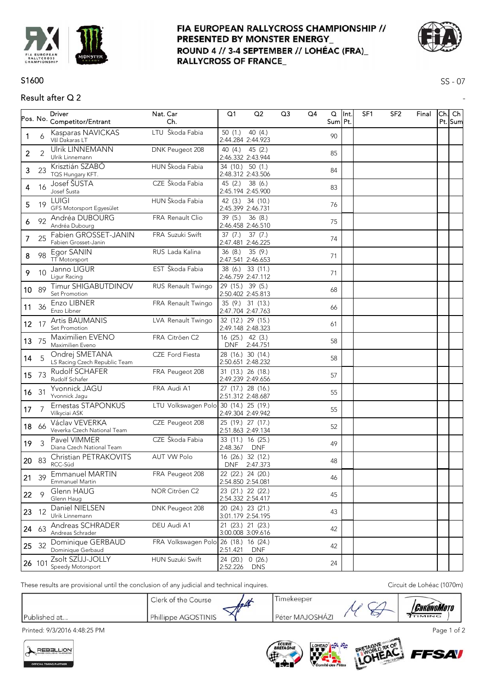

## FIA EUROPEAN RALLYCROSS CHAMPIONSHIP // PRESENTED BY MONSTER ENERGY\_ ROUND 4 // 3-4 SEPTEMBER // LOHÉAC (FRA) **RALLYCROSS OF FRANCE**



SS - 07

-

# S1600

# Result after Q 2

|                |                | <b>Driver</b><br>Pos. No. Competitor/Entrant    | Nat. Car<br>Ch.                       | Q1                                     | Q <sub>2</sub>       | Q <sub>3</sub> | Q4 | Q<br>Sum Pt. | llnt. | SF <sub>1</sub> | SF <sub>2</sub> | Final | Ch. Ch<br>Pt. Sum |
|----------------|----------------|-------------------------------------------------|---------------------------------------|----------------------------------------|----------------------|----------------|----|--------------|-------|-----------------|-----------------|-------|-------------------|
| 1              | 6              | Kasparas NAVICKAS<br>Všl Dakaras LT             | LTU Škoda Fabia                       | 50(1)<br>2:44.284 2:44.923             | 40(4)                |                |    | 90           |       |                 |                 |       |                   |
| $\overline{c}$ | $\overline{2}$ | Ulrik LINNEMANN<br>Ulrik Linnemann              | DNK Peugeot 208                       | 40 (4.)<br>2:46.332 2:43.944           | 45(2.)               |                |    | 85           |       |                 |                 |       |                   |
| 3              | 23             | Krisztián SZABÓ<br>TQS Hungary KFT.             | HUN Škoda Fabia                       | 34 (10.) 50 (1.)<br>2:48.312 2:43.506  |                      |                |    | 84           |       |                 |                 |       |                   |
| 4              | 16             | Josef ŠUSTA<br>Josef Šusta                      | CZE Škoda Fabia                       | 45 (2.)<br>2:45.194 2:45.900           | 38 (6.)              |                |    | 83           |       |                 |                 |       |                   |
| 5              | 19             | LUIGI<br>GFS Motorsport Egyesület               | HUN Škoda Fabia                       | 42 (3.) 34 (10.)<br>2:45.399 2:46.731  |                      |                |    | 76           |       |                 |                 |       |                   |
| 6              | 92             | Andréa DUBOURG<br>Andréa Dubourg                | FRA Renault Clio                      | 39(5.)<br>2:46.458 2:46.510            | 36(8.)               |                |    | 75           |       |                 |                 |       |                   |
| $\mathcal{I}$  | 25             | Fabien GROSSET-JANIN<br>Fabien Grosset-Janin    | FRA Suzuki Swift                      | 37(7.)<br>2:47.481 2:46.225            | 37(7.)               |                |    | 74           |       |                 |                 |       |                   |
| 8              | 98             | Egor SANIN<br><b>TT Motorsport</b>              | RUS Lada Kalina                       | 36(8.)<br>2:47.541 2:46.653            | 35(9.)               |                |    | 71           |       |                 |                 |       |                   |
| 9              | 10             | Janno LIGUR<br>Ligur Racing                     | EST Škoda Fabia                       | 38 (6.) 33 (11.)<br>2:46.759 2:47.112  |                      |                |    | 71           |       |                 |                 |       |                   |
| 10 89          |                | Timur SHIGABUTDINOV<br>Set Promotion            | RUS Renault Twingo                    | 29 (15.) 39 (5.)<br>2:50.402 2:45.813  |                      |                |    | 68           |       |                 |                 |       |                   |
|                | 11 36          | Enzo LIBNER<br>Enzo Libner                      | FRA Renault Twingo                    | 35 (9.) 31 (13.)<br>2:47.704 2:47.763  |                      |                |    | 66           |       |                 |                 |       |                   |
| $12 \t17$      |                | Artis BAUMANIS<br>Set Promotion                 | LVA Renault Twingo                    | 32 (12.) 29 (15.)<br>2:49.148 2:48.323 |                      |                |    | 61           |       |                 |                 |       |                   |
| 13 75          |                | Maximilien EVENO<br>Maximilien Eveno            | FRA Citröen C2                        | 16 (25.) 42 (3.)<br><b>DNF</b>         | 2:44.751             |                |    | 58           |       |                 |                 |       |                   |
| 14             | 5              | Ondrej SMETANA<br>LS Racing Czech Republic Team | CZE Ford Fiesta                       | 28 (16.) 30 (14.)<br>2:50.651 2:48.232 |                      |                |    | 58           |       |                 |                 |       |                   |
| 15 73          |                | Rudolf SCHAFER<br>Rudolf Schafer                | FRA Peugeot 208                       | 31 (13.) 26 (18.)<br>2:49.239 2:49.656 |                      |                |    | 57           |       |                 |                 |       |                   |
| 16 31          |                | Yvonnick JAGU<br>Yvonnick Jagu                  | FRA Audi A1                           | 27 (17.) 28 (16.)<br>2:51.312 2:48.687 |                      |                |    | 55           |       |                 |                 |       |                   |
| 17             | 7              | Ernestas STAPONKUS<br>Vilkyciai ASK             | LTU Volkswagen Polo                   | 30 (14.) 25 (19.)<br>2:49.304 2:49.942 |                      |                |    | 55           |       |                 |                 |       |                   |
|                | 18 66          | Václav VEVERKA<br>Veverka Czech National Team   | CZE Peugeot 208                       | 25 (19.) 27 (17.)<br>2:51.863 2:49.134 |                      |                |    | 52           |       |                 |                 |       |                   |
| 19             | $\overline{3}$ | Pavel VIMMER<br>Diana Czech National Team       | CZE Škoda Fabia                       | 33 (11.) 16 (25.)<br>2:48.367          | <b>DNF</b>           |                |    | 49           |       |                 |                 |       |                   |
| 20 83          |                | Christian PETRAKOVITS<br>RCC-Süd                | <b>AUT VW Polo</b>                    | 16 (26.) 32 (12.)<br><b>DNF</b>        | 2:47.373             |                |    | 48           |       |                 |                 |       |                   |
|                |                | 21 39 Emmanuel MARTIN<br>Emmanuel Martin        | FRA Peugeot 208                       | 22 (22.) 24 (20.)<br>2:54.850 2:54.081 |                      |                |    | 46           |       |                 |                 |       |                   |
| 22             | $\mathsf{Q}$   | Glenn HAUG<br>Glenn Haug                        | NOR Citröen C2                        | 23 (21.) 22 (22.)<br>2:54.332 2:54.417 |                      |                |    | 45           |       |                 |                 |       |                   |
| 23             | 12             | Daniel NIELSEN<br>Ulrik Linnemann               | DNK Peugeot 208                       | 20 (24.) 23 (21.)<br>3:01.179 2:54.195 |                      |                |    | 43           |       |                 |                 |       |                   |
| 24 63          |                | Andreas SCHRADER<br>Andreas Schrader            | DEU Audi A1                           | 21 (23.) 21 (23.)<br>3:00.008 3:09.616 |                      |                |    | 42           |       |                 |                 |       |                   |
| 25 32          |                | Dominique GERBAUD<br>Dominique Gerbaud          | FRA Volkswagen Polo 26 (18.) 16 (24.) | 2:51.421                               | <b>DNF</b>           |                |    | 42           |       |                 |                 |       |                   |
|                | 26 101         | Zsolt SZÍJJ-JOLLY<br>Speedy Motorsport          | HUN Suzuki Swift                      | 24 (20.)<br>2:52.226                   | 0(26.)<br><b>DNS</b> |                |    | 24           |       |                 |                 |       |                   |

These results are provisional until the conclusion of any judicial and technical inquires. Circuit de Lohéac (1070m)

|              | Clerk of the Course | leaf          | Imekeeper       | n |                                        |
|--------------|---------------------|---------------|-----------------|---|----------------------------------------|
| Published at | Phillippe AGOSTINIS | $\mathcal{N}$ | Péter MAJOSHÁZI | ٮ | <i><b>Chrónomoto</b></i><br>$T$ TIMING |

Printed: 9/3/2016 4:48:25 PM Page 1 of 2